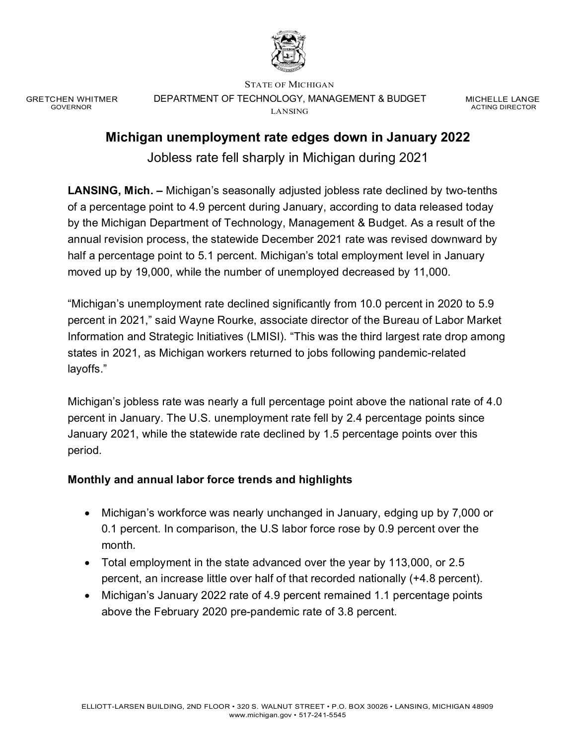

GRETCHEN WHITMER GOVERNOR

STATE OF MICHIGAN DEPARTMENT OF TECHNOLOGY, MANAGEMENT & BUDGET LANSING

MICHELLE LANGE ACTING DIRECTOR

# **Michigan unemployment rate edges down in January 2022**

Jobless rate fell sharply in Michigan during 2021

**LANSING, Mich. –** Michigan's seasonally adjusted jobless rate declined by two-tenths of a percentage point to 4.9 percent during January, according to data released today by the Michigan Department of Technology, Management & Budget. As a result of the annual revision process, the statewide December 2021 rate was revised downward by half a percentage point to 5.1 percent. Michigan's total employment level in January moved up by 19,000, while the number of unemployed decreased by 11,000.

"Michigan's unemployment rate declined significantly from 10.0 percent in 2020 to 5.9 percent in 2021," said Wayne Rourke, associate director of the Bureau of Labor Market Information and Strategic Initiatives (LMISI). "This was the third largest rate drop among states in 2021, as Michigan workers returned to jobs following pandemic-related layoffs."

Michigan's jobless rate was nearly a full percentage point above the national rate of 4.0 percent in January. The U.S. unemployment rate fell by 2.4 percentage points since January 2021, while the statewide rate declined by 1.5 percentage points over this period.

## **Monthly and annual labor force trends and highlights**

- Michigan's workforce was nearly unchanged in January, edging up by 7,000 or 0.1 percent. In comparison, the U.S labor force rose by 0.9 percent over the month.
- Total employment in the state advanced over the year by 113,000, or 2.5 percent, an increase little over half of that recorded nationally (+4.8 percent).
- Michigan's January 2022 rate of 4.9 percent remained 1.1 percentage points above the February 2020 pre-pandemic rate of 3.8 percent.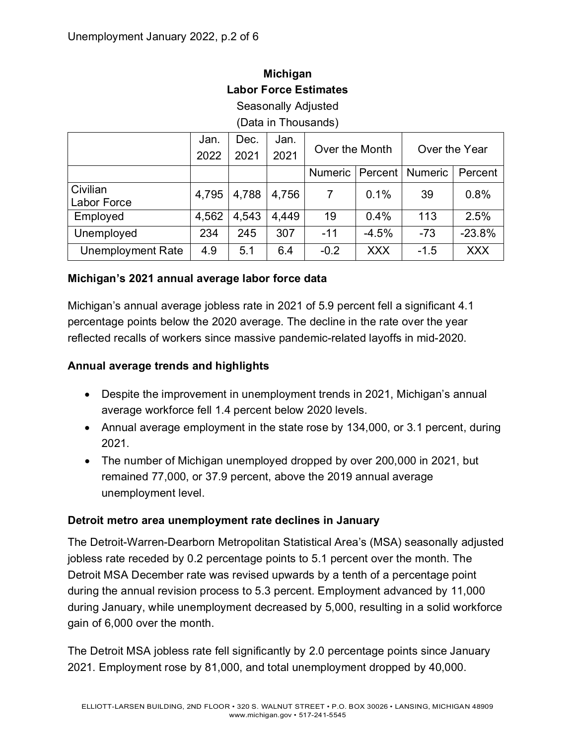# **Michigan Labor Force Estimates**

Seasonally Adjusted

(Data in Thousands)

|                          | Jan.  | Dec.  | Jan.  | Over the Month |            | Over the Year  |            |
|--------------------------|-------|-------|-------|----------------|------------|----------------|------------|
|                          | 2022  | 2021  | 2021  |                |            |                |            |
|                          |       |       |       | <b>Numeric</b> | Percent    | <b>Numeric</b> | Percent    |
| Civilian                 | 4,795 | 4,788 | 4,756 | $\overline{7}$ | 0.1%       | 39             | 0.8%       |
| Labor Force              |       |       |       |                |            |                |            |
| Employed                 | 4,562 | 4,543 | 4,449 | 19             | 0.4%       | 113            | 2.5%       |
| Unemployed               | 234   | 245   | 307   | $-11$          | $-4.5%$    | $-73$          | $-23.8%$   |
| <b>Unemployment Rate</b> | 4.9   | 5.1   | 6.4   | $-0.2$         | <b>XXX</b> | $-1.5$         | <b>XXX</b> |

### **Michigan's 2021 annual average labor force data**

Michigan's annual average jobless rate in 2021 of 5.9 percent fell a significant 4.1 percentage points below the 2020 average. The decline in the rate over the year reflected recalls of workers since massive pandemic-related layoffs in mid-2020.

#### **Annual average trends and highlights**

- Despite the improvement in unemployment trends in 2021, Michigan's annual average workforce fell 1.4 percent below 2020 levels.
- Annual average employment in the state rose by 134,000, or 3.1 percent, during 2021.
- The number of Michigan unemployed dropped by over 200,000 in 2021, but remained 77,000, or 37.9 percent, above the 2019 annual average unemployment level.

#### **Detroit metro area unemployment rate declines in January**

The Detroit-Warren-Dearborn Metropolitan Statistical Area's (MSA) seasonally adjusted jobless rate receded by 0.2 percentage points to 5.1 percent over the month. The Detroit MSA December rate was revised upwards by a tenth of a percentage point during the annual revision process to 5.3 percent. Employment advanced by 11,000 during January, while unemployment decreased by 5,000, resulting in a solid workforce gain of 6,000 over the month.

The Detroit MSA jobless rate fell significantly by 2.0 percentage points since January 2021. Employment rose by 81,000, and total unemployment dropped by 40,000.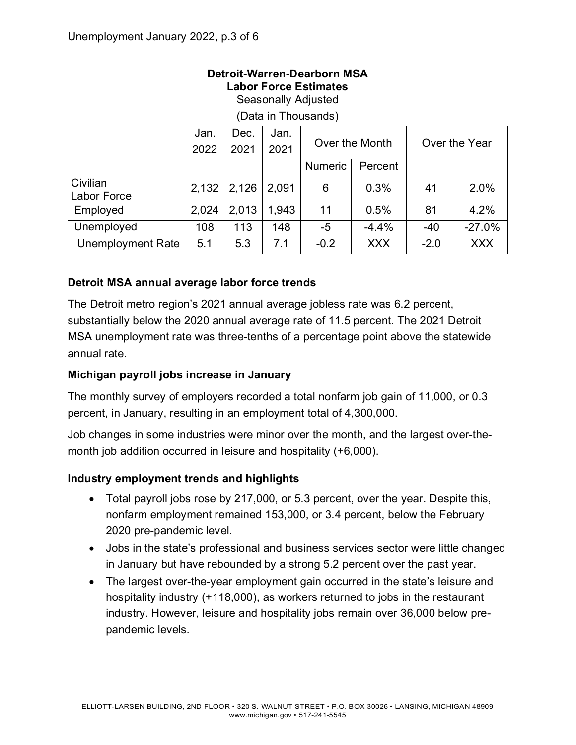#### **Detroit-Warren-Dearborn MSA Labor Force Estimates** Seasonally Adjusted

|                    | Jan.  | Dec.  | Jan.  | Over the Month |            |               |            |
|--------------------|-------|-------|-------|----------------|------------|---------------|------------|
|                    | 2022  | 2021  | 2021  |                |            | Over the Year |            |
|                    |       |       |       | <b>Numeric</b> | Percent    |               |            |
| Civilian           | 2,132 | 2,126 | 2,091 | 6              | 0.3%       | 41            | 2.0%       |
| <b>Labor Force</b> |       |       |       |                |            |               |            |
| Employed           | 2,024 | 2,013 | 1,943 | 11             | 0.5%       | 81            | 4.2%       |
| Unemployed         | 108   | 113   | 148   | $-5$           | $-4.4%$    | $-40$         | $-27.0%$   |
| Unemployment Rate  | 5.1   | 5.3   | 7.1   | $-0.2$         | <b>XXX</b> | $-2.0$        | <b>XXX</b> |

(Data in Thousands)

## **Detroit MSA annual average labor force trends**

The Detroit metro region's 2021 annual average jobless rate was 6.2 percent, substantially below the 2020 annual average rate of 11.5 percent. The 2021 Detroit MSA unemployment rate was three-tenths of a percentage point above the statewide annual rate.

## **Michigan payroll jobs increase in January**

The monthly survey of employers recorded a total nonfarm job gain of 11,000, or 0.3 percent, in January, resulting in an employment total of 4,300,000.

Job changes in some industries were minor over the month, and the largest over-themonth job addition occurred in leisure and hospitality (+6,000).

#### **Industry employment trends and highlights**

- Total payroll jobs rose by 217,000, or 5.3 percent, over the year. Despite this, nonfarm employment remained 153,000, or 3.4 percent, below the February 2020 pre-pandemic level.
- Jobs in the state's professional and business services sector were little changed in January but have rebounded by a strong 5.2 percent over the past year.
- The largest over-the-year employment gain occurred in the state's leisure and hospitality industry (+118,000), as workers returned to jobs in the restaurant industry. However, leisure and hospitality jobs remain over 36,000 below prepandemic levels.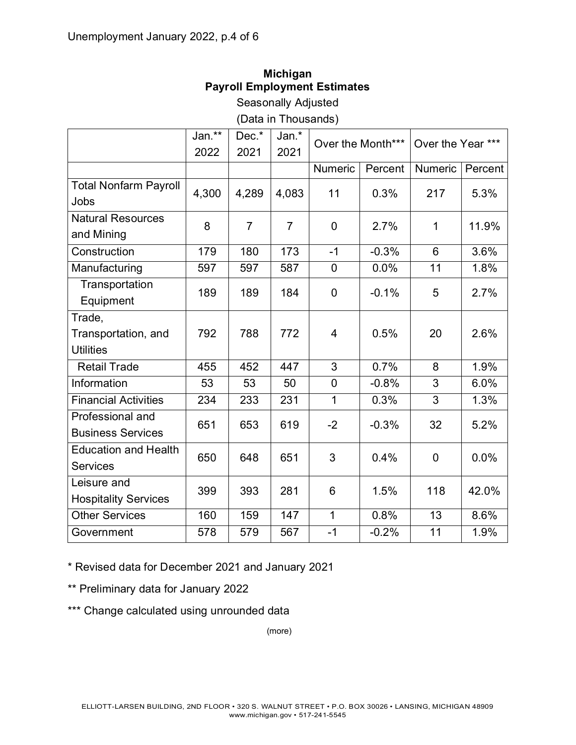Trade,

**Transportation** Equipment

# **Michigan Payroll Employment Estimates**

Seasonally Adjusted

|                              |        |       | (Data in Thousands) |                |         |                                       |         |
|------------------------------|--------|-------|---------------------|----------------|---------|---------------------------------------|---------|
|                              | Jan.** | Dec.* | Jan.*               |                |         | Over the Month***   Over the Year *** |         |
|                              | 2022   | 2021  | 2021                |                |         |                                       |         |
|                              |        |       |                     | <b>Numeric</b> | Percent | Numeric                               | Percent |
| <b>Total Nonfarm Payroll</b> | 4,300  | 4,289 | 4,083               | 11             | 0.3%    | 217                                   | 5.3%    |
| Jobs                         |        |       |                     |                |         |                                       |         |
| <b>Natural Resources</b>     | 8      |       |                     | $\overline{0}$ | 2.7%    |                                       | 11.9%   |
| and Mining                   |        |       |                     |                |         |                                       |         |
|                              |        |       |                     |                |         |                                       |         |

Construction 179 180 173 -1 -0.3% 6 3.6% Manufacturing | 597 | 597 | 587 | 0 | 0.0% | 11 | 1.8%

189 189 184 0 -0.1% 5 2.7%

Transportation, and **Utilities** 792 788 772 4 0.5% 20 2.6% Retail Trade 1455 | 452 | 447 | 3 | 0.7% | 8 | 1.9% Information 53 53 50 0 -0.8% 3 6.0% Financial Activities | 234 | 233 | 231 | 1 | 0.3% | 3 | 1.3% Professional and Business Services <sup>651</sup> <sup>653</sup> <sup>619</sup> -2 -0.3% <sup>32</sup> 5.2% Education and Health **Services** 650 650 648 651 3 0.4% 0 0.0% Leisure and  $\frac{25.5615 \text{ and } 20\%}{299}$  393  $281$  6 1.5% 118 42.0% Other Services 160 159 147 1 0.8% 13 8.6% Government 1 578 579 567 -1 -0.2% 11 1.9%

\* Revised data for December 2021 and January 2021

\*\* Preliminary data for January 2022

\*\*\* Change calculated using unrounded data

(more)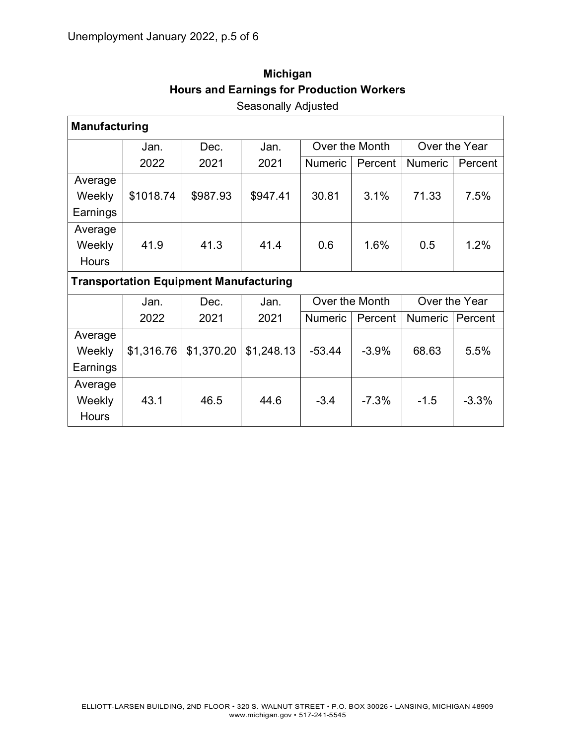| <b>Manufacturing</b> |                                               |            |            |                |                |                |               |  |  |  |  |
|----------------------|-----------------------------------------------|------------|------------|----------------|----------------|----------------|---------------|--|--|--|--|
|                      | Jan.                                          | Dec.       | Jan.       |                | Over the Month |                | Over the Year |  |  |  |  |
|                      | 2022                                          | 2021       | 2021       | <b>Numeric</b> | Percent        | <b>Numeric</b> | Percent       |  |  |  |  |
| Average              |                                               |            |            |                |                |                |               |  |  |  |  |
| Weekly               | \$1018.74                                     | \$987.93   | \$947.41   | 30.81          | 3.1%           | 71.33          | 7.5%          |  |  |  |  |
| Earnings             |                                               |            |            |                |                |                |               |  |  |  |  |
| Average              |                                               |            |            |                |                |                |               |  |  |  |  |
| Weekly               | 41.9                                          | 41.3       | 41.4       | 0.6            | 1.6%           | 0.5            | 1.2%          |  |  |  |  |
| <b>Hours</b>         |                                               |            |            |                |                |                |               |  |  |  |  |
|                      | <b>Transportation Equipment Manufacturing</b> |            |            |                |                |                |               |  |  |  |  |
|                      | Jan.                                          | Dec.       | Jan.       | Over the Month | Over the Year  |                |               |  |  |  |  |
|                      | 2022                                          | 2021       | 2021       | <b>Numeric</b> | Percent        | <b>Numeric</b> | Percent       |  |  |  |  |
| Average              |                                               |            |            |                |                |                |               |  |  |  |  |
| Weekly               | \$1,316.76                                    | \$1,370.20 | \$1,248.13 | $-53.44$       | $-3.9%$        | 68.63          | 5.5%          |  |  |  |  |
| Earnings             |                                               |            |            |                |                |                |               |  |  |  |  |
| Average              |                                               |            |            |                |                |                |               |  |  |  |  |
| Weekly               | 43.1                                          | 46.5       | 44.6       | $-3.4$         | $-7.3%$        | $-1.5$         | $-3.3%$       |  |  |  |  |
| <b>Hours</b>         |                                               |            |            |                |                |                |               |  |  |  |  |

# **Michigan Hours and Earnings for Production Workers** Seasonally Adjusted